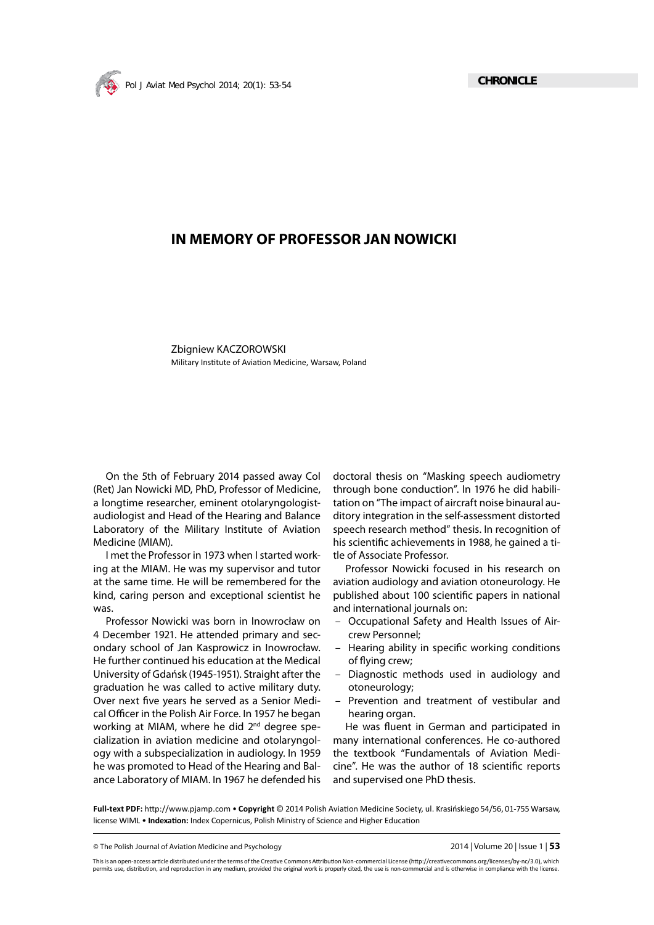

## **IN MEMORY OF PROFESSOR JAN NOWICKI**

Zbigniew KACZOROWSKI Military Institute of Aviation Medicine, Warsaw, Poland

On the 5th of February 2014 passed away Col (Ret) Jan Nowicki MD, PhD, Professor of Medicine, a longtime researcher, eminent otolaryngologistaudiologist and Head of the Hearing and Balance Laboratory of the Military Institute of Aviation Medicine (MIAM).

I met the Professor in 1973 when I started working at the MIAM. He was my supervisor and tutor at the same time. He will be remembered for the kind, caring person and exceptional scientist he was.

Professor Nowicki was born in Inowrocław on 4 December 1921. He attended primary and secondary school of Jan Kasprowicz in Inowrocław. He further continued his education at the Medical University of Gdańsk (1945-1951). Straight after the graduation he was called to active military duty. Over next five years he served as a Senior Medical Officer in the Polish Air Force. In 1957 he began working at MIAM, where he did 2<sup>nd</sup> degree specialization in aviation medicine and otolaryngology with a subspecialization in audiology. In 1959 he was promoted to Head of the Hearing and Balance Laboratory of MIAM. In 1967 he defended his

doctoral thesis on "Masking speech audiometry through bone conduction". In 1976 he did habilitation on "The impact of aircraft noise binaural auditory integration in the self-assessment distorted speech research method" thesis. In recognition of his scientific achievements in 1988, he gained a title of Associate Professor.

Professor Nowicki focused in his research on aviation audiology and aviation otoneurology. He published about 100 scientific papers in national and international journals on:

- Occupational Safety and Health Issues of Aircrew Personnel;
- Hearing ability in specific working conditions of flying crew;
- Diagnostic methods used in audiology and otoneurology;
- Prevention and treatment of vestibular and hearing organ.

He was fluent in German and participated in many international conferences. He co-authored the textbook "Fundamentals of Aviation Medicine". He was the author of 18 scientific reports and supervised one PhD thesis.

Full-text PDF: http://www.pjamp.com • Copyright © 2014 Polish Aviation Medicine Society, ul. Krasińskiego 54/56, 01-755 Warsaw, license WIML • **Indexation:** Index Copernicus, Polish Ministry of Science and Higher Education

© The Polish Journal of Aviation Medicine and Psychology 2014 | Volume 20 | Issue 1 | **53**

This is an open-access article distributed under the terms of the Creative Commons Attribution Non-commercial License (http://creativecommons.org/licenses/by-nc/3.0), which permits use, distribution, and reproduction in any medium, provided the original work is properly cited, the use is non-commercial and is otherwise in compliance with the license.